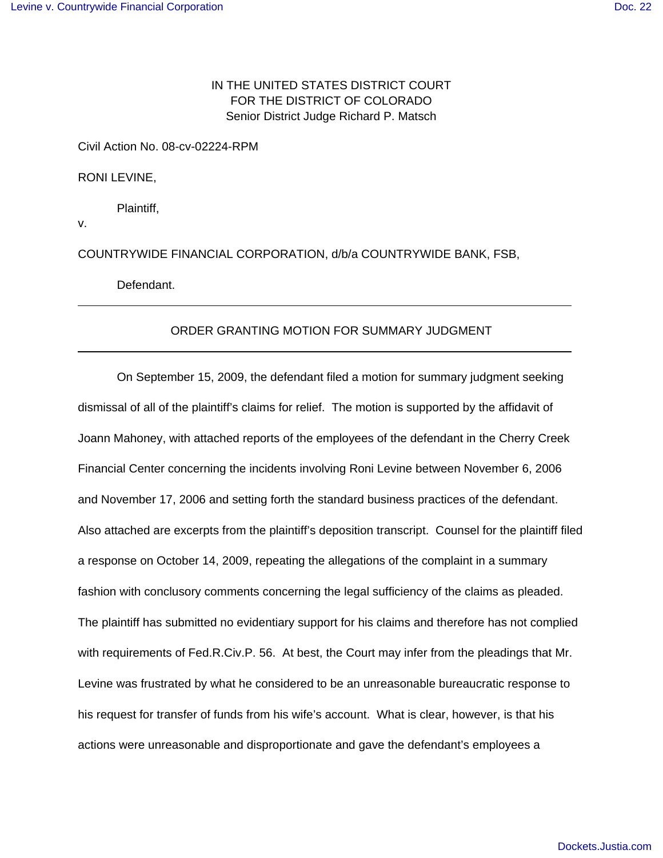## IN THE UNITED STATES DISTRICT COURT FOR THE DISTRICT OF COLORADO Senior District Judge Richard P. Matsch

Civil Action No. 08-cv-02224-RPM

RONI LEVINE,

Plaintiff,

v.

 $\overline{a}$ 

 $\overline{a}$ 

COUNTRYWIDE FINANCIAL CORPORATION, d/b/a COUNTRYWIDE BANK, FSB,

Defendant.

## ORDER GRANTING MOTION FOR SUMMARY JUDGMENT

On September 15, 2009, the defendant filed a motion for summary judgment seeking dismissal of all of the plaintiff's claims for relief. The motion is supported by the affidavit of Joann Mahoney, with attached reports of the employees of the defendant in the Cherry Creek Financial Center concerning the incidents involving Roni Levine between November 6, 2006 and November 17, 2006 and setting forth the standard business practices of the defendant. Also attached are excerpts from the plaintiff's deposition transcript. Counsel for the plaintiff filed a response on October 14, 2009, repeating the allegations of the complaint in a summary fashion with conclusory comments concerning the legal sufficiency of the claims as pleaded. The plaintiff has submitted no evidentiary support for his claims and therefore has not complied with requirements of Fed.R.Civ.P. 56. At best, the Court may infer from the pleadings that Mr. Levine was frustrated by what he considered to be an unreasonable bureaucratic response to his request for transfer of funds from his wife's account. What is clear, however, is that his actions were unreasonable and disproportionate and gave the defendant's employees a